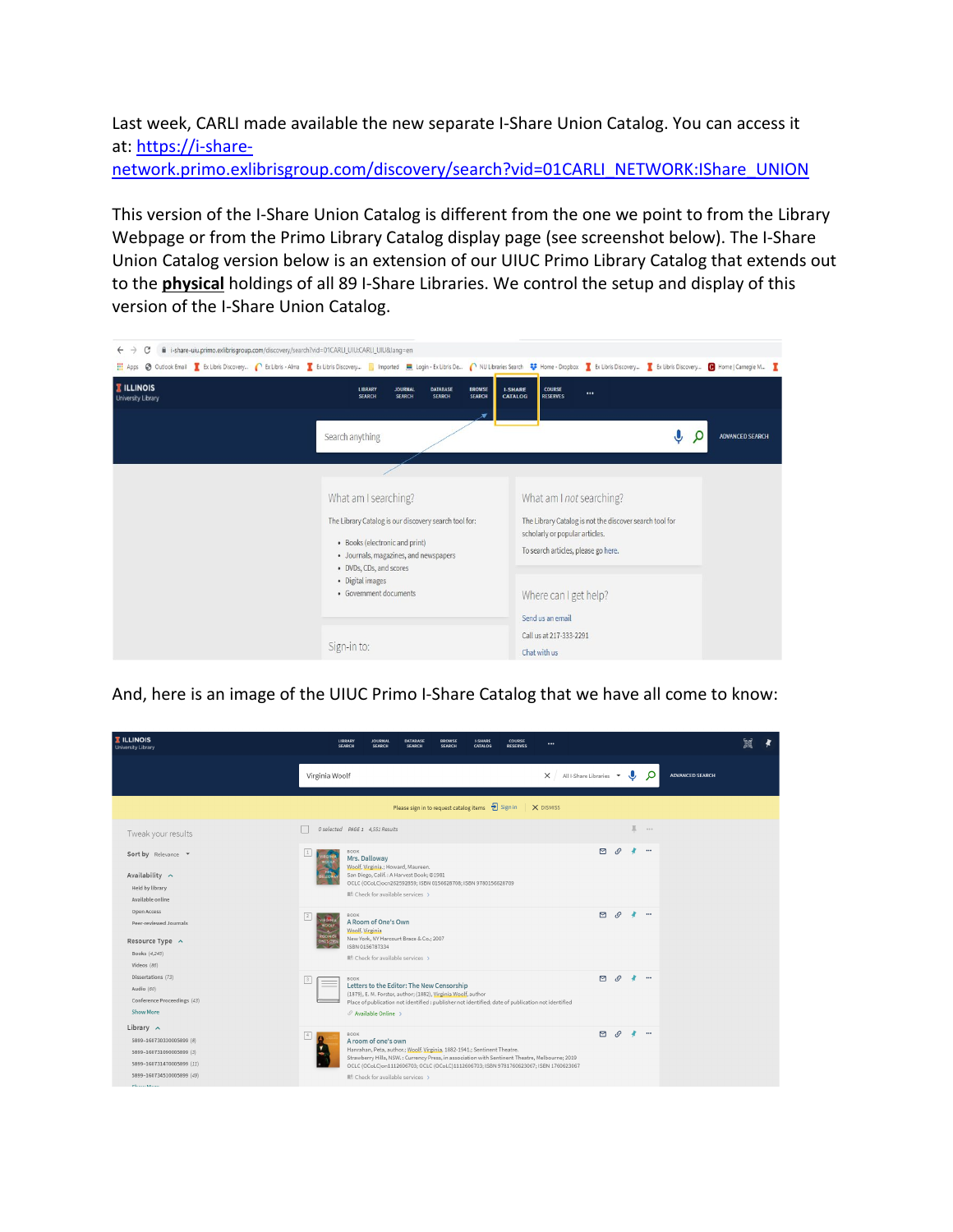Last week, CARLI made available the new separate I-Share Union Catalog. You can access it at: [https://i-share-](https://urldefense.com/v3/__https:/i-share-network.primo.exlibrisgroup.com/discovery/search?vid=01CARLI_NETWORK:IShare_UNION__;!!DZ3fjg!soRgounjBlIX_rKeXdWqDHqlgFLnyfbzRevChn7idMWOBUAiJ5Ihou3Wqwpg4wkota7Td7Ba$)

[network.primo.exlibrisgroup.com/discovery/search?vid=01CARLI\\_NETWORK:IShare\\_UNION](https://urldefense.com/v3/__https:/i-share-network.primo.exlibrisgroup.com/discovery/search?vid=01CARLI_NETWORK:IShare_UNION__;!!DZ3fjg!soRgounjBlIX_rKeXdWqDHqlgFLnyfbzRevChn7idMWOBUAiJ5Ihou3Wqwpg4wkota7Td7Ba$)

This version of the I-Share Union Catalog is different from the one we point to from the Library Webpage or from the Primo Library Catalog display page (see screenshot below). The I-Share Union Catalog version below is an extension of our UIUC Primo Library Catalog that extends out to the **physical** holdings of all 89 I-Share Libraries. We control the setup and display of this version of the I-Share Union Catalog.



And, here is an image of the UIUC Primo I-Share Catalog that we have all come to know:

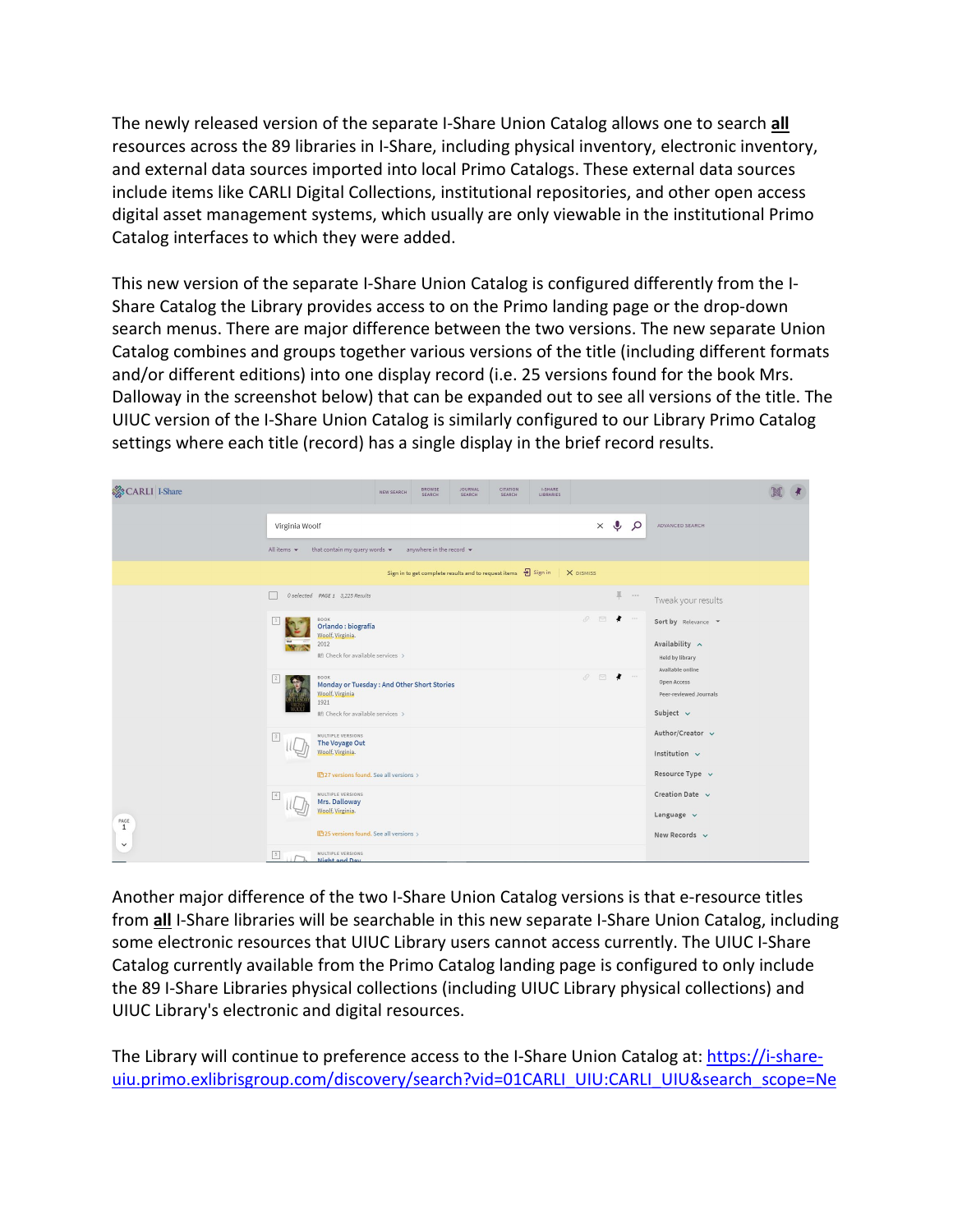The newly released version of the separate I-Share Union Catalog allows one to search **all** resources across the 89 libraries in I-Share, including physical inventory, electronic inventory, and external data sources imported into local Primo Catalogs. These external data sources include items like CARLI Digital Collections, institutional repositories, and other open access digital asset management systems, which usually are only viewable in the institutional Primo Catalog interfaces to which they were added.

This new version of the separate I-Share Union Catalog is configured differently from the I-Share Catalog the Library provides access to on the Primo landing page or the drop-down search menus. There are major difference between the two versions. The new separate Union Catalog combines and groups together various versions of the title (including different formats and/or different editions) into one display record (i.e. 25 versions found for the book Mrs. Dalloway in the screenshot below) that can be expanded out to see all versions of the title. The UIUC version of the I-Share Union Catalog is similarly configured to our Library Primo Catalog settings where each title (record) has a single display in the brief record results.



Another major difference of the two I-Share Union Catalog versions is that e-resource titles from **all** I-Share libraries will be searchable in this new separate I-Share Union Catalog, including some electronic resources that UIUC Library users cannot access currently. The UIUC I-Share Catalog currently available from the Primo Catalog landing page is configured to only include the 89 I-Share Libraries physical collections (including UIUC Library physical collections) and UIUC Library's electronic and digital resources.

The Library will continue to preference access to the I-Share Union Catalog at: [https://i-share](https://urldefense.com/v3/__https:/i-share-uiu.primo.exlibrisgroup.com/discovery/search?vid=01CARLI_UIU:CARLI_UIU&search_scope=NewDiscoveryNetwork__;!!DZ3fjg!soRgounjBlIX_rKeXdWqDHqlgFLnyfbzRevChn7idMWOBUAiJ5Ihou3Wqwpg4wkotTKMgIqM$)[uiu.primo.exlibrisgroup.com/discovery/search?vid=01CARLI\\_UIU:CARLI\\_UIU&search\\_scope=Ne](https://urldefense.com/v3/__https:/i-share-uiu.primo.exlibrisgroup.com/discovery/search?vid=01CARLI_UIU:CARLI_UIU&search_scope=NewDiscoveryNetwork__;!!DZ3fjg!soRgounjBlIX_rKeXdWqDHqlgFLnyfbzRevChn7idMWOBUAiJ5Ihou3Wqwpg4wkotTKMgIqM$)